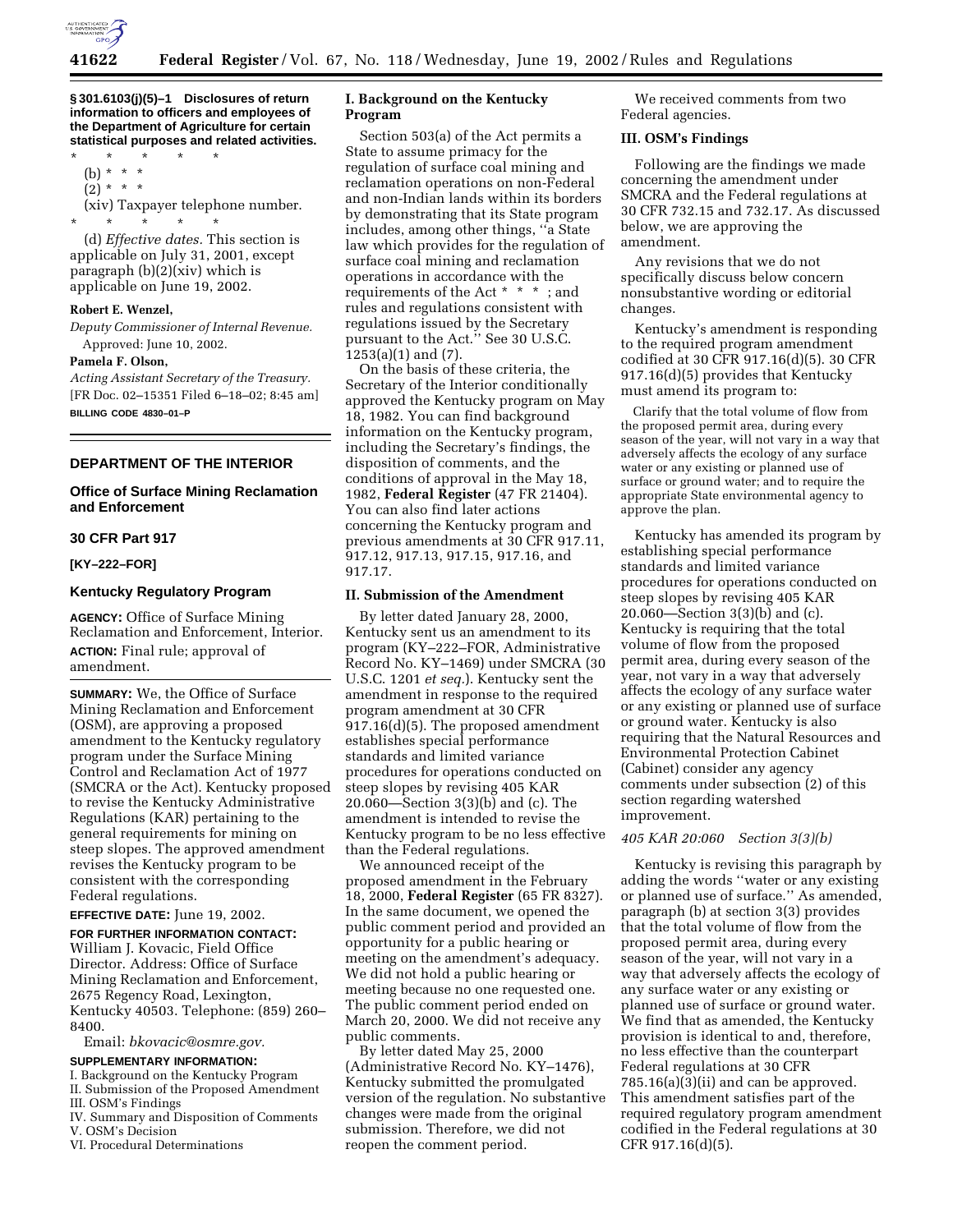

**§ 301.6103(j)(5)–1 Disclosures of return information to officers and employees of the Department of Agriculture for certain statistical purposes and related activities.**

- \* \* \* \* \* (b) \* \* \*
	- $(2) * * * *$

(xiv) Taxpayer telephone number. \* \* \* \* \*

(d) *Effective dates.* This section is applicable on July 31, 2001, except paragraph (b)(2)(xiv) which is applicable on June 19, 2002.

### **Robert E. Wenzel,**

*Deputy Commissioner of Internal Revenue.*  Approved: June 10, 2002.

### **Pamela F. Olson,**

*Acting Assistant Secretary of the Treasury.* [FR Doc. 02–15351 Filed 6–18–02; 8:45 am] **BILLING CODE 4830–01–P**

# **DEPARTMENT OF THE INTERIOR**

# **Office of Surface Mining Reclamation and Enforcement**

# **30 CFR Part 917**

### **[KY–222–FOR]**

### **Kentucky Regulatory Program**

**AGENCY:** Office of Surface Mining Reclamation and Enforcement, Interior. **ACTION:** Final rule; approval of amendment.

**SUMMARY:** We, the Office of Surface Mining Reclamation and Enforcement (OSM), are approving a proposed amendment to the Kentucky regulatory program under the Surface Mining Control and Reclamation Act of 1977 (SMCRA or the Act). Kentucky proposed to revise the Kentucky Administrative Regulations (KAR) pertaining to the general requirements for mining on steep slopes. The approved amendment revises the Kentucky program to be consistent with the corresponding Federal regulations.

**EFFECTIVE DATE:** June 19, 2002.

**FOR FURTHER INFORMATION CONTACT:** William J. Kovacic, Field Office Director. Address: Office of Surface Mining Reclamation and Enforcement, 2675 Regency Road, Lexington,

Kentucky 40503. Telephone: (859) 260– 8400. Email: *bkovacic@osmre.gov.*

#### **SUPPLEMENTARY INFORMATION:**

I. Background on the Kentucky Program II. Submission of the Proposed Amendment

- III. OSM's Findings
- IV. Summary and Disposition of Comments V. OSM's Decision
- VI. Procedural Determinations

# **I. Background on the Kentucky Program**

Section 503(a) of the Act permits a State to assume primacy for the regulation of surface coal mining and reclamation operations on non-Federal and non-Indian lands within its borders by demonstrating that its State program includes, among other things, ''a State law which provides for the regulation of surface coal mining and reclamation operations in accordance with the requirements of the Act \* \* \* ; and rules and regulations consistent with regulations issued by the Secretary pursuant to the Act.'' See 30 U.S.C. 1253(a)(1) and (7).

On the basis of these criteria, the Secretary of the Interior conditionally approved the Kentucky program on May 18, 1982. You can find background information on the Kentucky program, including the Secretary's findings, the disposition of comments, and the conditions of approval in the May 18, 1982, **Federal Register** (47 FR 21404). You can also find later actions concerning the Kentucky program and previous amendments at 30 CFR 917.11, 917.12, 917.13, 917.15, 917.16, and 917.17.

### **II. Submission of the Amendment**

By letter dated January 28, 2000, Kentucky sent us an amendment to its program (KY–222–FOR, Administrative Record No. KY–1469) under SMCRA (30 U.S.C. 1201 *et seq.*). Kentucky sent the amendment in response to the required program amendment at 30 CFR 917.16(d)(5). The proposed amendment establishes special performance standards and limited variance procedures for operations conducted on steep slopes by revising 405 KAR 20.060—Section 3(3)(b) and (c). The amendment is intended to revise the Kentucky program to be no less effective than the Federal regulations.

We announced receipt of the proposed amendment in the February 18, 2000, **Federal Register** (65 FR 8327). In the same document, we opened the public comment period and provided an opportunity for a public hearing or meeting on the amendment's adequacy. We did not hold a public hearing or meeting because no one requested one. The public comment period ended on March 20, 2000. We did not receive any public comments.

By letter dated May 25, 2000 (Administrative Record No. KY–1476), Kentucky submitted the promulgated version of the regulation. No substantive changes were made from the original submission. Therefore, we did not reopen the comment period.

We received comments from two Federal agencies.

### **III. OSM's Findings**

Following are the findings we made concerning the amendment under SMCRA and the Federal regulations at 30 CFR 732.15 and 732.17. As discussed below, we are approving the amendment.

Any revisions that we do not specifically discuss below concern nonsubstantive wording or editorial changes.

Kentucky's amendment is responding to the required program amendment codified at 30 CFR 917.16(d)(5). 30 CFR 917.16(d)(5) provides that Kentucky must amend its program to:

Clarify that the total volume of flow from the proposed permit area, during every season of the year, will not vary in a way that adversely affects the ecology of any surface water or any existing or planned use of surface or ground water; and to require the appropriate State environmental agency to approve the plan.

Kentucky has amended its program by establishing special performance standards and limited variance procedures for operations conducted on steep slopes by revising 405 KAR 20.060—Section 3(3)(b) and (c). Kentucky is requiring that the total volume of flow from the proposed permit area, during every season of the year, not vary in a way that adversely affects the ecology of any surface water or any existing or planned use of surface or ground water. Kentucky is also requiring that the Natural Resources and Environmental Protection Cabinet (Cabinet) consider any agency comments under subsection (2) of this section regarding watershed improvement.

# *405 KAR 20:060 Section 3(3)(b)*

Kentucky is revising this paragraph by adding the words ''water or any existing or planned use of surface.'' As amended, paragraph (b) at section 3(3) provides that the total volume of flow from the proposed permit area, during every season of the year, will not vary in a way that adversely affects the ecology of any surface water or any existing or planned use of surface or ground water. We find that as amended, the Kentucky provision is identical to and, therefore, no less effective than the counterpart Federal regulations at 30 CFR 785.16(a)(3)(ii) and can be approved. This amendment satisfies part of the required regulatory program amendment codified in the Federal regulations at 30 CFR 917.16(d)(5).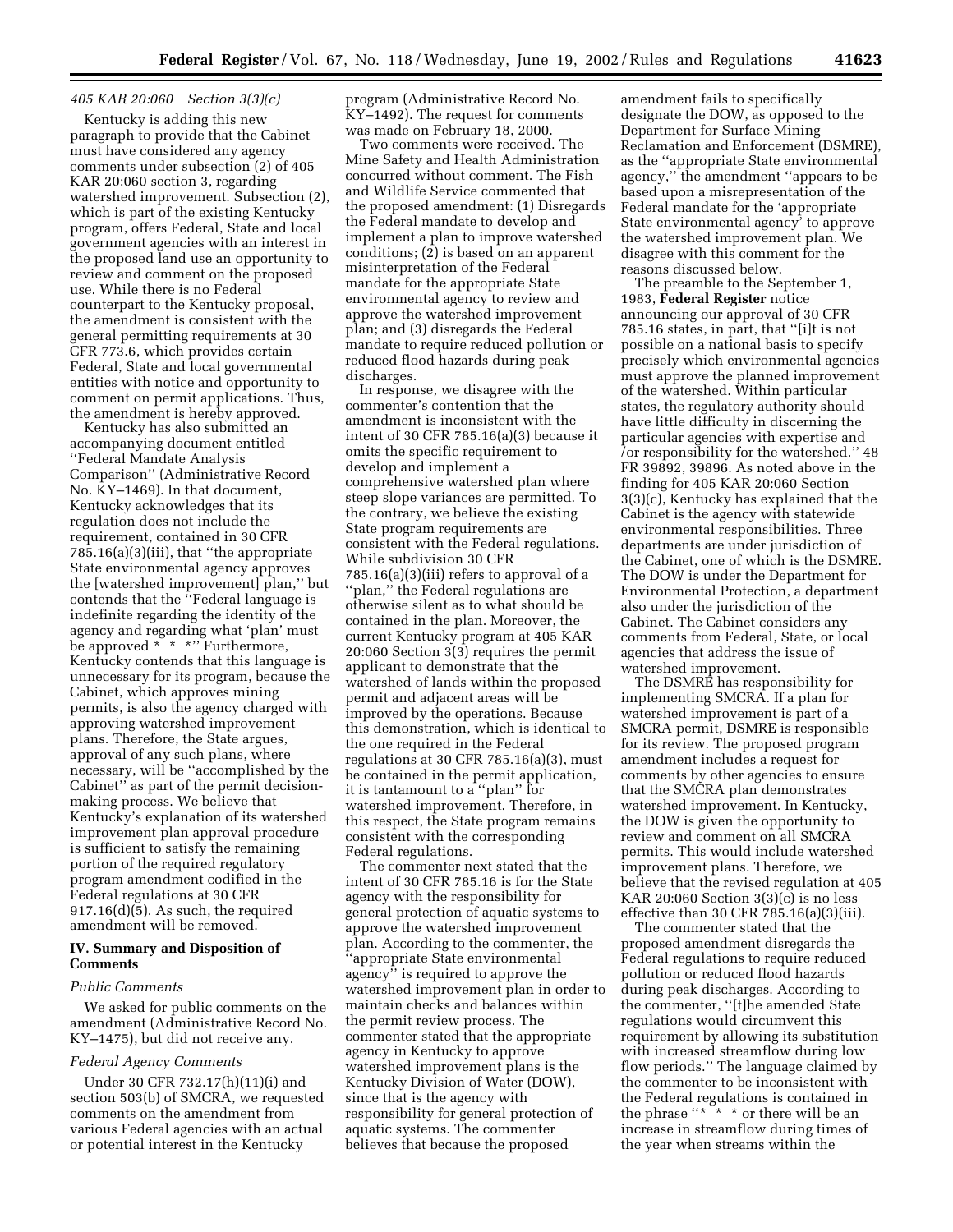# *405 KAR 20:060 Section 3(3)(c)*

Kentucky is adding this new paragraph to provide that the Cabinet must have considered any agency comments under subsection (2) of 405 KAR 20:060 section 3, regarding watershed improvement. Subsection (2), which is part of the existing Kentucky program, offers Federal, State and local government agencies with an interest in the proposed land use an opportunity to review and comment on the proposed use. While there is no Federal counterpart to the Kentucky proposal, the amendment is consistent with the general permitting requirements at 30 CFR 773.6, which provides certain Federal, State and local governmental entities with notice and opportunity to comment on permit applications. Thus, the amendment is hereby approved.

Kentucky has also submitted an accompanying document entitled ''Federal Mandate Analysis Comparison'' (Administrative Record No. KY–1469). In that document, Kentucky acknowledges that its regulation does not include the requirement, contained in 30 CFR 785.16(a)(3)(iii), that ''the appropriate State environmental agency approves the [watershed improvement] plan,'' but contends that the ''Federal language is indefinite regarding the identity of the agency and regarding what 'plan' must be approved \* \* \*" Furthermore, Kentucky contends that this language is unnecessary for its program, because the Cabinet, which approves mining permits, is also the agency charged with approving watershed improvement plans. Therefore, the State argues, approval of any such plans, where necessary, will be ''accomplished by the Cabinet'' as part of the permit decisionmaking process. We believe that Kentucky's explanation of its watershed improvement plan approval procedure is sufficient to satisfy the remaining portion of the required regulatory program amendment codified in the Federal regulations at 30 CFR 917.16(d)(5). As such, the required amendment will be removed.

# **IV. Summary and Disposition of Comments**

#### *Public Comments*

We asked for public comments on the amendment (Administrative Record No. KY–1475), but did not receive any.

#### *Federal Agency Comments*

Under 30 CFR 732.17(h)(11)(i) and section 503(b) of SMCRA, we requested comments on the amendment from various Federal agencies with an actual or potential interest in the Kentucky

program (Administrative Record No. KY–1492). The request for comments was made on February 18, 2000.

Two comments were received. The Mine Safety and Health Administration concurred without comment. The Fish and Wildlife Service commented that the proposed amendment: (1) Disregards the Federal mandate to develop and implement a plan to improve watershed conditions; (2) is based on an apparent misinterpretation of the Federal mandate for the appropriate State environmental agency to review and approve the watershed improvement plan; and (3) disregards the Federal mandate to require reduced pollution or reduced flood hazards during peak discharges.

In response, we disagree with the commenter's contention that the amendment is inconsistent with the intent of 30 CFR 785.16(a)(3) because it omits the specific requirement to develop and implement a comprehensive watershed plan where steep slope variances are permitted. To the contrary, we believe the existing State program requirements are consistent with the Federal regulations. While subdivision 30 CFR 785.16(a)(3)(iii) refers to approval of a ''plan,'' the Federal regulations are otherwise silent as to what should be contained in the plan. Moreover, the current Kentucky program at 405 KAR 20:060 Section 3(3) requires the permit applicant to demonstrate that the watershed of lands within the proposed permit and adjacent areas will be improved by the operations. Because this demonstration, which is identical to the one required in the Federal regulations at 30 CFR 785.16(a)(3), must be contained in the permit application, it is tantamount to a ''plan'' for watershed improvement. Therefore, in this respect, the State program remains consistent with the corresponding Federal regulations.

The commenter next stated that the intent of 30 CFR 785.16 is for the State agency with the responsibility for general protection of aquatic systems to approve the watershed improvement plan. According to the commenter, the ''appropriate State environmental agency'' is required to approve the watershed improvement plan in order to maintain checks and balances within the permit review process. The commenter stated that the appropriate agency in Kentucky to approve watershed improvement plans is the Kentucky Division of Water (DOW), since that is the agency with responsibility for general protection of aquatic systems. The commenter believes that because the proposed

amendment fails to specifically designate the DOW, as opposed to the Department for Surface Mining Reclamation and Enforcement (DSMRE), as the ''appropriate State environmental agency,'' the amendment ''appears to be based upon a misrepresentation of the Federal mandate for the 'appropriate State environmental agency' to approve the watershed improvement plan. We disagree with this comment for the reasons discussed below.

The preamble to the September 1, 1983, **Federal Register** notice announcing our approval of 30 CFR 785.16 states, in part, that ''[i]t is not possible on a national basis to specify precisely which environmental agencies must approve the planned improvement of the watershed. Within particular states, the regulatory authority should have little difficulty in discerning the particular agencies with expertise and /or responsibility for the watershed.'' 48 FR 39892, 39896. As noted above in the finding for 405 KAR 20:060 Section 3(3)(c), Kentucky has explained that the Cabinet is the agency with statewide environmental responsibilities. Three departments are under jurisdiction of the Cabinet, one of which is the DSMRE. The DOW is under the Department for Environmental Protection, a department also under the jurisdiction of the Cabinet. The Cabinet considers any comments from Federal, State, or local agencies that address the issue of watershed improvement.

The DSMRE has responsibility for implementing SMCRA. If a plan for watershed improvement is part of a SMCRA permit, DSMRE is responsible for its review. The proposed program amendment includes a request for comments by other agencies to ensure that the SMCRA plan demonstrates watershed improvement. In Kentucky, the DOW is given the opportunity to review and comment on all SMCRA permits. This would include watershed improvement plans. Therefore, we believe that the revised regulation at 405 KAR 20:060 Section 3(3)(c) is no less effective than 30 CFR  $785.16(a)(3)(iii)$ .

The commenter stated that the proposed amendment disregards the Federal regulations to require reduced pollution or reduced flood hazards during peak discharges. According to the commenter, ''[t]he amended State regulations would circumvent this requirement by allowing its substitution with increased streamflow during low flow periods.'' The language claimed by the commenter to be inconsistent with the Federal regulations is contained in the phrase "\* \* \* or there will be an increase in streamflow during times of the year when streams within the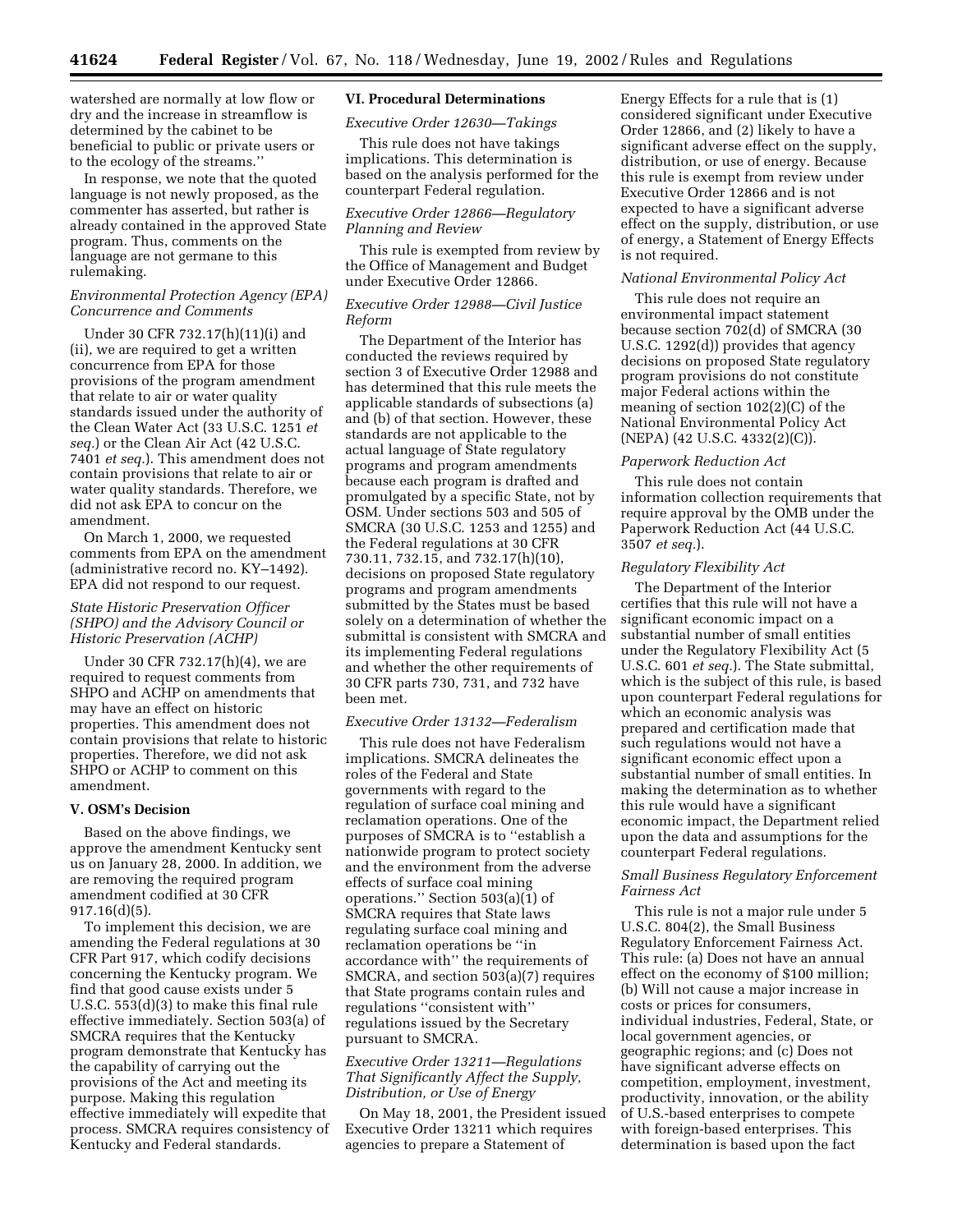watershed are normally at low flow or dry and the increase in streamflow is determined by the cabinet to be beneficial to public or private users or to the ecology of the streams.''

In response, we note that the quoted language is not newly proposed, as the commenter has asserted, but rather is already contained in the approved State program. Thus, comments on the language are not germane to this rulemaking.

# *Environmental Protection Agency (EPA) Concurrence and Comments*

Under 30 CFR 732.17(h)(11)(i) and (ii), we are required to get a written concurrence from EPA for those provisions of the program amendment that relate to air or water quality standards issued under the authority of the Clean Water Act (33 U.S.C. 1251 *et seq.*) or the Clean Air Act (42 U.S.C. 7401 *et seq.*). This amendment does not contain provisions that relate to air or water quality standards. Therefore, we did not ask EPA to concur on the amendment.

On March 1, 2000, we requested comments from EPA on the amendment (administrative record no. KY–1492). EPA did not respond to our request.

# *State Historic Preservation Officer (SHPO) and the Advisory Council or Historic Preservation (ACHP)*

Under 30 CFR 732.17(h)(4), we are required to request comments from SHPO and ACHP on amendments that may have an effect on historic properties. This amendment does not contain provisions that relate to historic properties. Therefore, we did not ask SHPO or ACHP to comment on this amendment.

## **V. OSM's Decision**

Based on the above findings, we approve the amendment Kentucky sent us on January 28, 2000. In addition, we are removing the required program amendment codified at 30 CFR 917.16(d)(5).

To implement this decision, we are amending the Federal regulations at 30 CFR Part 917, which codify decisions concerning the Kentucky program. We find that good cause exists under 5 U.S.C. 553(d)(3) to make this final rule effective immediately. Section 503(a) of SMCRA requires that the Kentucky program demonstrate that Kentucky has the capability of carrying out the provisions of the Act and meeting its purpose. Making this regulation effective immediately will expedite that process. SMCRA requires consistency of Kentucky and Federal standards.

# **VI. Procedural Determinations**

*Executive Order 12630—Takings* 

This rule does not have takings implications. This determination is based on the analysis performed for the counterpart Federal regulation.

# *Executive Order 12866—Regulatory Planning and Review*

This rule is exempted from review by the Office of Management and Budget under Executive Order 12866.

# *Executive Order 12988—Civil Justice Reform*

The Department of the Interior has conducted the reviews required by section 3 of Executive Order 12988 and has determined that this rule meets the applicable standards of subsections (a) and (b) of that section. However, these standards are not applicable to the actual language of State regulatory programs and program amendments because each program is drafted and promulgated by a specific State, not by OSM. Under sections 503 and 505 of SMCRA (30 U.S.C. 1253 and 1255) and the Federal regulations at 30 CFR 730.11, 732.15, and 732.17(h)(10), decisions on proposed State regulatory programs and program amendments submitted by the States must be based solely on a determination of whether the submittal is consistent with SMCRA and its implementing Federal regulations and whether the other requirements of 30 CFR parts 730, 731, and 732 have been met.

#### *Executive Order 13132—Federalism*

This rule does not have Federalism implications. SMCRA delineates the roles of the Federal and State governments with regard to the regulation of surface coal mining and reclamation operations. One of the purposes of SMCRA is to ''establish a nationwide program to protect society and the environment from the adverse effects of surface coal mining operations.'' Section 503(a)(1) of SMCRA requires that State laws regulating surface coal mining and reclamation operations be ''in accordance with'' the requirements of SMCRA, and section 503(a)(7) requires that State programs contain rules and regulations ''consistent with'' regulations issued by the Secretary pursuant to SMCRA.

# *Executive Order 13211—Regulations That Significantly Affect the Supply, Distribution, or Use of Energy*

On May 18, 2001, the President issued Executive Order 13211 which requires agencies to prepare a Statement of

Energy Effects for a rule that is (1) considered significant under Executive Order 12866, and (2) likely to have a significant adverse effect on the supply, distribution, or use of energy. Because this rule is exempt from review under Executive Order 12866 and is not expected to have a significant adverse effect on the supply, distribution, or use of energy, a Statement of Energy Effects is not required.

#### *National Environmental Policy Act*

This rule does not require an environmental impact statement because section 702(d) of SMCRA (30 U.S.C. 1292(d)) provides that agency decisions on proposed State regulatory program provisions do not constitute major Federal actions within the meaning of section 102(2)(C) of the National Environmental Policy Act (NEPA) (42 U.S.C. 4332(2)(C)).

#### *Paperwork Reduction Act*

This rule does not contain information collection requirements that require approval by the OMB under the Paperwork Reduction Act (44 U.S.C. 3507 *et seq.*).

### *Regulatory Flexibility Act*

The Department of the Interior certifies that this rule will not have a significant economic impact on a substantial number of small entities under the Regulatory Flexibility Act (5 U.S.C. 601 *et seq.*). The State submittal, which is the subject of this rule, is based upon counterpart Federal regulations for which an economic analysis was prepared and certification made that such regulations would not have a significant economic effect upon a substantial number of small entities. In making the determination as to whether this rule would have a significant economic impact, the Department relied upon the data and assumptions for the counterpart Federal regulations.

### *Small Business Regulatory Enforcement Fairness Act*

This rule is not a major rule under 5 U.S.C. 804(2), the Small Business Regulatory Enforcement Fairness Act. This rule: (a) Does not have an annual effect on the economy of \$100 million; (b) Will not cause a major increase in costs or prices for consumers, individual industries, Federal, State, or local government agencies, or geographic regions; and (c) Does not have significant adverse effects on competition, employment, investment, productivity, innovation, or the ability of U.S.-based enterprises to compete with foreign-based enterprises. This determination is based upon the fact